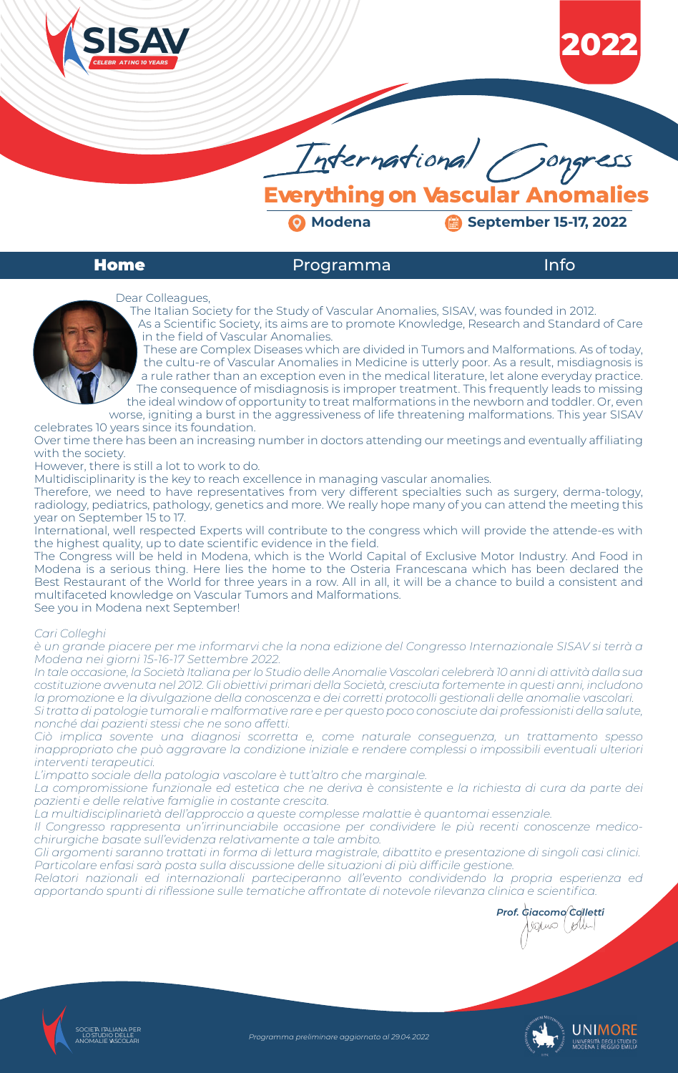

**Everything on Vascular Anomalies**

**2 Modena Modena Gallery Contract Contract 15-17, 2022** 

# **Home** Programma Info



Programma preliminare aggiornato al 29.04.2022



**2022**



The Italian Society for the Study of Vascular Anomalies, SISAV, was founded in 2012.

As a Scientific Society, its aims are to promote Knowledge, Research and Standard of Care in the field of Vascular Anomalies. These are Complex Diseases which are divided in Tumors and Malformations. As of today,

the cultu-re of Vascular Anomalies in Medicine is utterly poor. As a result, misdiagnosis is a rule rather than an exception even in the medical literature, let alone everyday practice. The consequence of misdiagnosis is improper treatment. This frequently leads to missing the ideal window of opportunity to treat malformations in the newborn and toddler. Or, even

worse, igniting a burst in the aggressiveness of life threatening malformations. This year SISAV celebrates 10 years since its foundation.

Over time there has been an increasing number in doctors attending our meetings and eventually affiliating with the society.

However, there is still a lot to work to do.

Multidisciplinarity is the key to reach excellence in managing vascular anomalies.

Therefore, we need to have representatives from very different specialties such as surgery, derma-tology, radiology, pediatrics, pathology, genetics and more. We really hope many of you can attend the meeting this year on September 15 to 17.

International, well respected Experts will contribute to the congress which will provide the attende-es with the highest quality, up to date scientific evidence in the field.

The Congress will be held in Modena, which is the World Capital of Exclusive Motor Industry. And Food in Modena is a serious thing. Here lies the home to the Osteria Francescana which has been declared the Best Restaurant of the World for three years in a row. All in all, it will be a chance to build a consistent and multifaceted knowledge on Vascular Tumors and Malformations.

See you in Modena next September!

# *Cari Colleghi*

*è un grande piacere per me informarvi che la nona edizione del Congresso Internazionale SISAV si terrà a Modena nei giorni 15-16-17 Settembre 2022.*

*In tale occasione, la Società Italiana per lo Studio delle Anomalie Vascolari celebrerà 10 anni di attività dalla sua costituzione avvenuta nel 2012. Gli obiettivi primari della Società, cresciuta fortemente in questi anni, includono la promozione e la divulgazione della conoscenza e dei corretti protocolli gestionali delle anomalie vascolari. Si tratta di patologie tumorali e malformative rare e per questo poco conosciute dai professionisti della salute, nonché dai pazienti stessi che ne sono affetti.* 

*Ciò implica sovente una diagnosi scorretta e, come naturale conseguenza, un trattamento spesso inappropriato che può aggravare la condizione iniziale e rendere complessi o impossibili eventuali ulteriori interventi terapeutici.*

*L'impatto sociale della patologia vascolare è tutt'altro che marginale.* 

*La compromissione funzionale ed estetica che ne deriva è consistente e la richiesta di cura da parte dei pazienti e delle relative famiglie in costante crescita.*

*La multidisciplinarietà dell'approccio a queste complesse malattie è quantomai essenziale.*

*Il Congresso rappresenta un'irrinunciabile occasione per condividere le più recenti conoscenze medicochirurgiche basate sull'evidenza relativamente a tale ambito.* 

*Gli argomenti saranno trattati in forma di lettura magistrale, dibattito e presentazione di singoli casi clinici. Particolare enfasi sarà posta sulla discussione delle situazioni di più difficile gestione.*

*Relatori nazionali ed internazionali parteciperanno all'evento condividendo la propria esperienza ed apportando spunti di riflessione sulle tematiche affrontate di notevole rilevanza clinica e scientifica.*

*Prof. Giacomo Colletti*

 $partio$  ( $glu$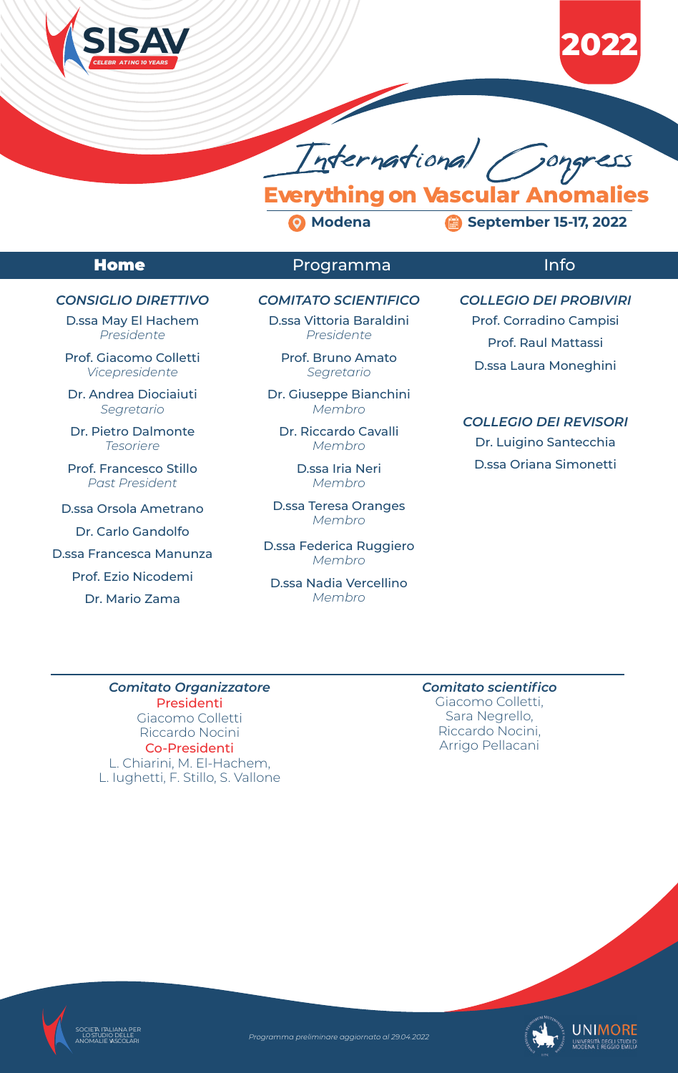

# **Everything on Vascular Anomalies**

**Modena September 15-17, 2022**

# **Home** Programma Info









# *CONSIGLIO DIRETTIVO*

D.ssa May El Hachem *Presidente*

Prof. Giacomo Colletti *Vicepresidente*

Dr. Andrea Diociaiuti *Segretario*

Dr. Pietro Dalmonte *Tesoriere*

Prof. Francesco Stillo *Past President*

D.ssa Orsola Ametrano

Dr. Carlo Gandolfo

D.ssa Francesca Manunza

Prof. Ezio Nicodemi

Dr. Mario Zama

*Comitato Organizzatore* Presidenti Giacomo Colletti

Riccardo Nocini Co-Presidenti L. Chiarini, M. El-Hachem, L. Iughetti, F. Stillo, S. Vallone *Comitato scientifico* Giacomo Colletti, Sara Negrello,

> Riccardo Nocini, Arrigo Pellacani

# *COMITATO SCIENTIFICO*

D.ssa Vittoria Baraldini *Presidente*

> Prof. Bruno Amato *Segretario*

Dr. Giuseppe Bianchini *Membro*

Dr. Riccardo Cavalli *Membro*

> D.ssa Iria Neri *Membro*

D.ssa Teresa Oranges *Membro*

D.ssa Federica Ruggiero *Membro*

D.ssa Nadia Vercellino *Membro*

# *COLLEGIO DEI PROBIVIRI*

Prof. Corradino Campisi

Prof. Raul Mattassi

D.ssa Laura Moneghini

# *COLLEGIO DEI REVISORI*

Dr. Luigino Santecchia D.ssa Oriana Simonetti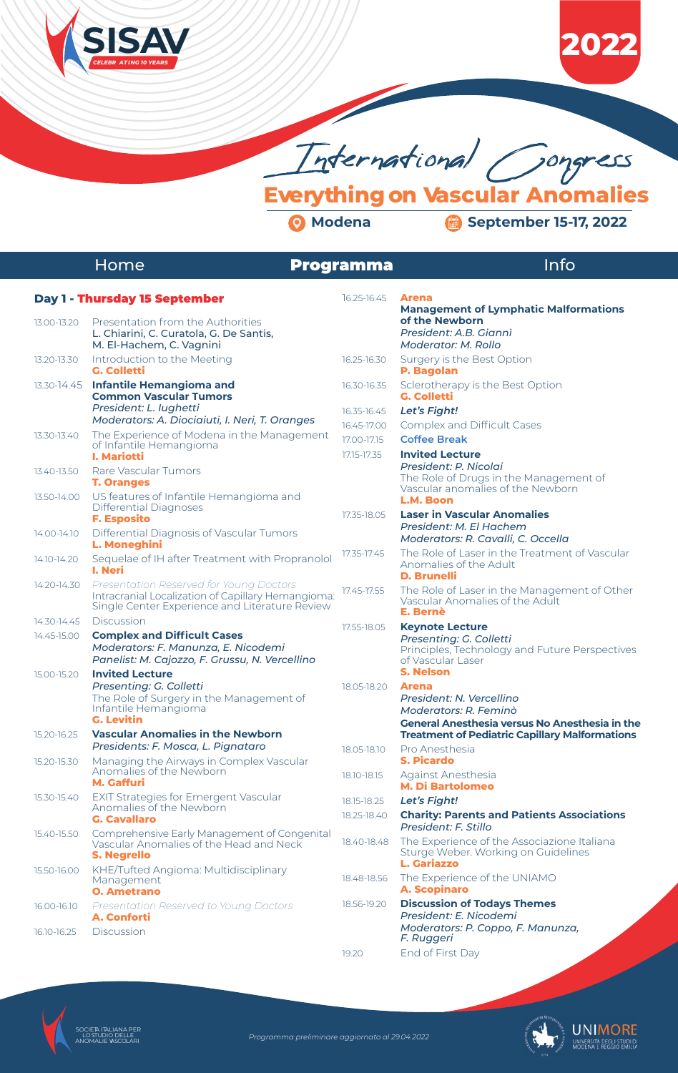

**Everything on Vascular Anomalies**

# Home **Programma**

# Info





# **Day 1 -** Thursday 15 September

| 13.00-13.20 | Presentation from the Authorities<br>L. Chiarini, C. Curatola, G. De Santis,<br>M. El-Hachem, C. Vagnini                                        |          |
|-------------|-------------------------------------------------------------------------------------------------------------------------------------------------|----------|
| 13.20-13.30 | Introduction to the Meeting<br><b>G. Colletti</b>                                                                                               | 76       |
| 13.30-14.45 | <b>Infantile Hemangioma and</b><br><b>Common Vascular Tumors</b><br>President: L. lughetti                                                      | 76<br>16 |
|             | Moderators: A. Diociaiuti, I. Neri, T. Oranges                                                                                                  | 76       |
| 13.30-13.40 | The Experience of Modena in the Management<br>of Infantile Hemangioma<br><b>I. Mariotti</b>                                                     | 17<br>17 |
| 13.40-13.50 | Rare Vascular Tumors<br><b>T. Oranges</b>                                                                                                       |          |
| 13.50-14.00 | US features of Infantile Hemangioma and<br>Differential Diagnoses<br><b>F. Esposito</b>                                                         | 17       |
| 14.00-14.10 | Differential Diagnosis of Vascular Tumors<br>L. Moneghini                                                                                       |          |
| 14.10-14.20 | Sequelae of IH after Treatment with Propranolol<br>I. Neri                                                                                      | 17       |
| 14.20-14.30 | Presentation Reserved for Young Doctors<br>Intracranial Localization of Capillary Hemangioma:<br>Single Center Experience and Literature Review | 17       |
| 14.30-14.45 | <b>Discussion</b>                                                                                                                               | 17       |
| 14.45-15.00 | <b>Complex and Difficult Cases</b><br>Moderators: F. Manunza, E. Nicodemi<br>Panelist: M. Cajozzo, F. Grussu, N. Vercellino                     |          |
| 15.00-15.20 | <b>Invited Lecture</b><br>Presenting: G. Colletti<br>The Role of Surgery in the Management of<br>Infantile Hemangioma                           | 78       |

 **G. Levitin**



| 15.20-16.25 | <b>Vascular Anomalies in the Newborn</b><br>Presidents: F. Mosca, L. Pignataro                         | 18.05-1                     |
|-------------|--------------------------------------------------------------------------------------------------------|-----------------------------|
| 15.20-15.30 | Managing the Airways in Complex Vascular<br>Anomalies of the Newborn<br><b>M. Gaffuri</b>              | $18.10 - 1$                 |
| 15.30-15.40 | <b>EXIT Strategies for Emergent Vascular</b><br>Anomalies of the Newborn<br><b>G. Cavallaro</b>        | $18.15 - 18$<br>$18.25 - 1$ |
| 15.40-15.50 | Comprehensive Early Management of Congenital<br>Vascular Anomalies of the Head and Neck<br>S. Negrello | $18.40 -$                   |
| 15.50-16.00 | KHE/Tufted Angioma: Multidisciplinary<br>Management<br><b>O. Ametrano</b>                              | 18.48-                      |
| 16.00-16.10 | Presentation Reserved to Young Doctors<br><b>A. Conforti</b>                                           | 18.56-1                     |
| 16.10-16.25 | Discussion                                                                                             |                             |

## 16.25-16.45 **Arena Management of Lymphatic Malformations of the Newborn**  *President: A.B. Giannì Moderator: M. Rollo* 6.25-16.30 Surgery is the Best Option  **P. Bagolan** 6.30-16.35 Sclerotherapy is the Best Option  **G. Colletti** 16.35-16.45 *Let's Fight!* 6.45-17.00 Complex and Difficult Cases 17.00-17.15 **Coffee Break** 17.15-17.35 **Invited Lecture**  *President: P. Nicolai* The Role of Drugs in the Management of Vascular anomalies of the Newborn  **L.M. Boon** 17.35-18.05 **Laser in Vascular Anomalies**  *President: M. El Hachem Moderators: R. Cavalli, C. Occella* 17.35-17.45 The Role of Laser in the Treatment of Vascular Anomalies of the Adult  **D. Brunelli** 17.45-17.55 The Role of Laser in the Management of Other Vascular Anomalies of the Adult  **E. Bernè** 17.55-18.05 **Keynote Lecture**  *Presenting: G. Colletti* Principles, Technology and Future Perspectives of Vascular Laser  **S. Nelson** 18.05-18.20 **Arena**  *President: N. Vercellino Moderators: R. Feminò*

### **General Anesthesia versus No Anesthesia in the Treatment of Pediatric Capillary Malformations**

| 18.05-18.10 | Pro Anesthesia<br><b>S. Picardo</b>                                                                             |
|-------------|-----------------------------------------------------------------------------------------------------------------|
| 18.10-18.15 | <b>Against Anesthesia</b><br><b>M. Di Bartolomeo</b>                                                            |
| 18.15-18.25 | Let's Fight!                                                                                                    |
| 18.25-18.40 | <b>Charity: Parents and Patients Associations</b><br>President: F. Stillo                                       |
| 18.40-18.48 | The Experience of the Associazione Italiana<br>Sturge Weber. Working on Guidelines<br><b>L. Gariazzo</b>        |
| 18.48-18.56 | The Experience of the UNIAMO<br><b>A. Scopinaro</b>                                                             |
| 18.56-19.20 | <b>Discussion of Todays Themes</b><br>President: E. Nicodemi<br>Moderators: P. Coppo, F. Manunza,<br>F. Ruggeri |
| 19.20       | End of First Day                                                                                                |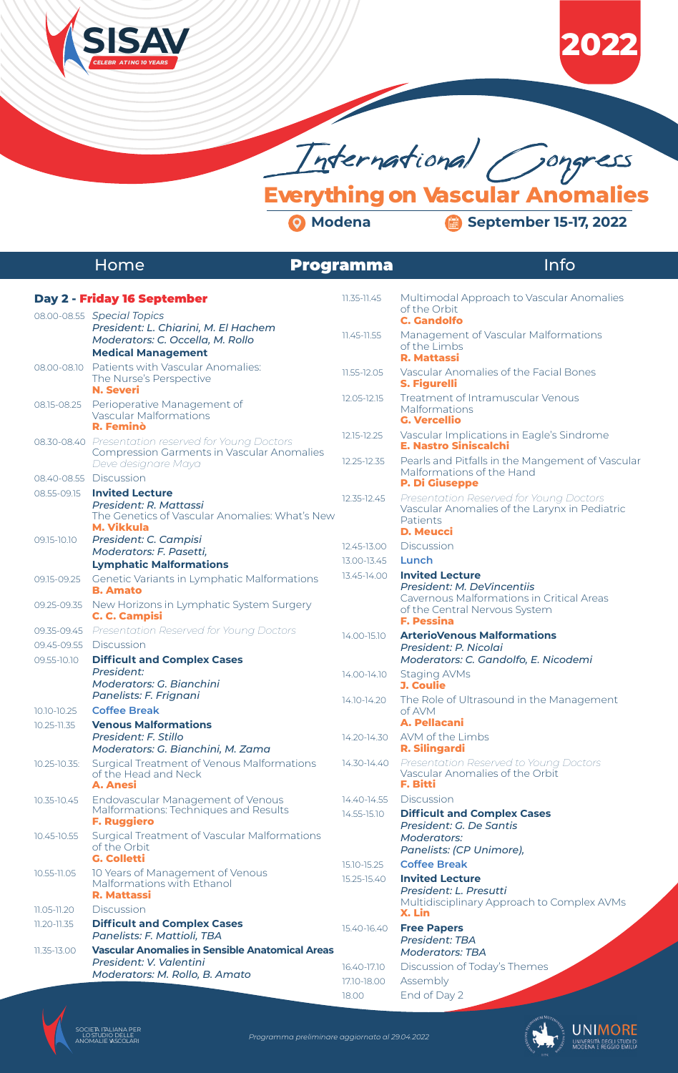

**Everything on Vascular Anomalies**

# Home **Programma**

# Info







|              | Day 2 - Friday 16 September                                                                                             | 11.35-11.45     | Multimodal Approach to Vascular Anomalies                                                                                |
|--------------|-------------------------------------------------------------------------------------------------------------------------|-----------------|--------------------------------------------------------------------------------------------------------------------------|
|              | 08.00-08.55 Special Topics<br>President: L. Chiarini, M. El Hachem                                                      |                 | of the Orbit<br><b>C. Gandolfo</b>                                                                                       |
|              | Moderators: C. Occella, M. Rollo<br><b>Medical Management</b>                                                           | $11.45 - 11.55$ | Management of Vascular Malformations<br>of the Limbs<br><b>R. Mattassi</b>                                               |
| 08.00-08.10  | Patients with Vascular Anomalies:<br>The Nurse's Perspective<br><b>N. Severi</b>                                        | 11.55-12.05     | Vascular Anomalies of the Facial Bones<br><b>S. Figurelli</b>                                                            |
| 08.15-08.25  | Perioperative Management of<br><b>Vascular Malformations</b><br><b>R. Feminò</b>                                        | 12.05-12.15     | Treatment of Intramuscular Venous<br>Malformations<br><b>G. Vercellio</b>                                                |
|              | 08.30-08.40 Presentation reserved for Young Doctors<br><b>Compression Garments in Vascular Anomalies</b>                | 12.15-12.25     | Vascular Implications in Eagle's Sindrome<br><b>E. Nastro Siniscalchi</b>                                                |
|              | Deve designare Maya<br>08.40-08.55 Discussion                                                                           | 12.25-12.35     | Pearls and Pitfalls in the Mangement of Vascular<br>Malformations of the Hand                                            |
|              |                                                                                                                         |                 | <b>P. Di Giuseppe</b>                                                                                                    |
| 08.55-09.15  | <b>Invited Lecture</b><br>President: R. Mattassi<br>The Genetics of Vascular Anomalies: What's New<br><b>M. Vikkula</b> | 12.35-12.45     | Presentation Reserved for Young Doctors<br>Vascular Anomalies of the Larynx in Pediatric<br>Patients<br><b>D. Meucci</b> |
| 09.15-10.10  | President: C. Campisi                                                                                                   | 12.45-13.00     | <b>Discussion</b>                                                                                                        |
|              | Moderators: F. Pasetti,                                                                                                 | 13.00-13.45     | Lunch                                                                                                                    |
|              | <b>Lymphatic Malformations</b>                                                                                          | 13.45-14.00     | <b>Invited Lecture</b>                                                                                                   |
| 09.15-09.25  | Genetic Variants in Lymphatic Malformations<br><b>B. Amato</b>                                                          |                 | <b>President: M. DeVincentiis</b><br>Cavernous Malformations in Critical Areas                                           |
| 09.25-09.35  | New Horizons in Lymphatic System Surgery<br><b>C. C. Campisi</b>                                                        |                 | of the Central Nervous System<br><b>F. Pessina</b>                                                                       |
| 09.35-09.45  | Presentation Reserved for Young Doctors                                                                                 | 14.00-15.10     | <b>ArterioVenous Malformations</b>                                                                                       |
| 09.45-09.55  | <b>Discussion</b>                                                                                                       |                 | President: P. Nicolai                                                                                                    |
| 09.55-10.10  | <b>Difficult and Complex Cases</b>                                                                                      |                 | Moderators: C. Gandolfo, E. Nicodemi                                                                                     |
|              | President:<br><b>Moderators: G. Bianchini</b>                                                                           | 14.00-14.10     | <b>Staging AVMs</b><br><b>J. Coulie</b>                                                                                  |
| 10.10-10.25  | Panelists: F. Frignani<br><b>Coffee Break</b>                                                                           | 14.10-14.20     | The Role of Ultrasound in the Management<br>of AVM                                                                       |
| 10.25-11.35  | <b>Venous Malformations</b>                                                                                             |                 | <b>A. Pellacani</b>                                                                                                      |
|              | President: F. Stillo<br>Moderators: G. Bianchini, M. Zama                                                               | 14.20-14.30     | AVM of the Limbs<br><b>R. Silingardi</b>                                                                                 |
| 10.25-10.35: | Surgical Treatment of Venous Malformations<br>of the Head and Neck<br><b>A. Anesi</b>                                   | 14.30-14.40     | Presentation Reserved to Young Doctors<br>Vascular Anomalies of the Orbit<br><b>F. Bitti</b>                             |
| 10.35-10.45  | Endovascular Management of Venous                                                                                       | 14.40-14.55     | <b>Discussion</b>                                                                                                        |
|              | Malformations: Techniques and Results<br><b>F. Ruggiero</b>                                                             | 14.55-15.10     | <b>Difficult and Complex Cases</b><br>President: G. De Santis                                                            |
| 10.45-10.55  | Surgical Treatment of Vascular Malformations<br>of the Orbit<br><b>G. Colletti</b>                                      |                 | <b>Moderators:</b><br>Panelists: (CP Unimore),                                                                           |
|              |                                                                                                                         | 15.10-15.25     | <b>Coffee Break</b>                                                                                                      |
| 10.55-11.05  | 10 Years of Management of Venous<br>Malformations with Ethanol<br><b>R. Mattassi</b>                                    | 15.25-15.40     | <b>Invited Lecture</b><br>President: L. Presutti                                                                         |
| 11.05-11.20  | <b>Discussion</b>                                                                                                       |                 | Multidisciplinary Approach to Complex AVMs<br>X. Lin                                                                     |
| 11.20-11.35  | <b>Difficult and Complex Cases</b><br>Panelists: F. Mattioli, TBA                                                       | 15.40-16.40     | <b>Free Papers</b><br><b>President: TBA</b>                                                                              |
| 11.35-13.00  | <b>Vascular Anomalies in Sensible Anatomical Areas</b>                                                                  |                 | <b>Moderators: TBA</b>                                                                                                   |
|              | President: V. Valentini                                                                                                 | 16.40-17.10     | Discussion of Today's Themes                                                                                             |
|              | Moderators: M. Rollo, B. Amato                                                                                          | 17.10-18.00     | Assembly                                                                                                                 |
|              |                                                                                                                         | 18.00           | End of Day 2                                                                                                             |
|              |                                                                                                                         |                 |                                                                                                                          |
|              |                                                                                                                         |                 |                                                                                                                          |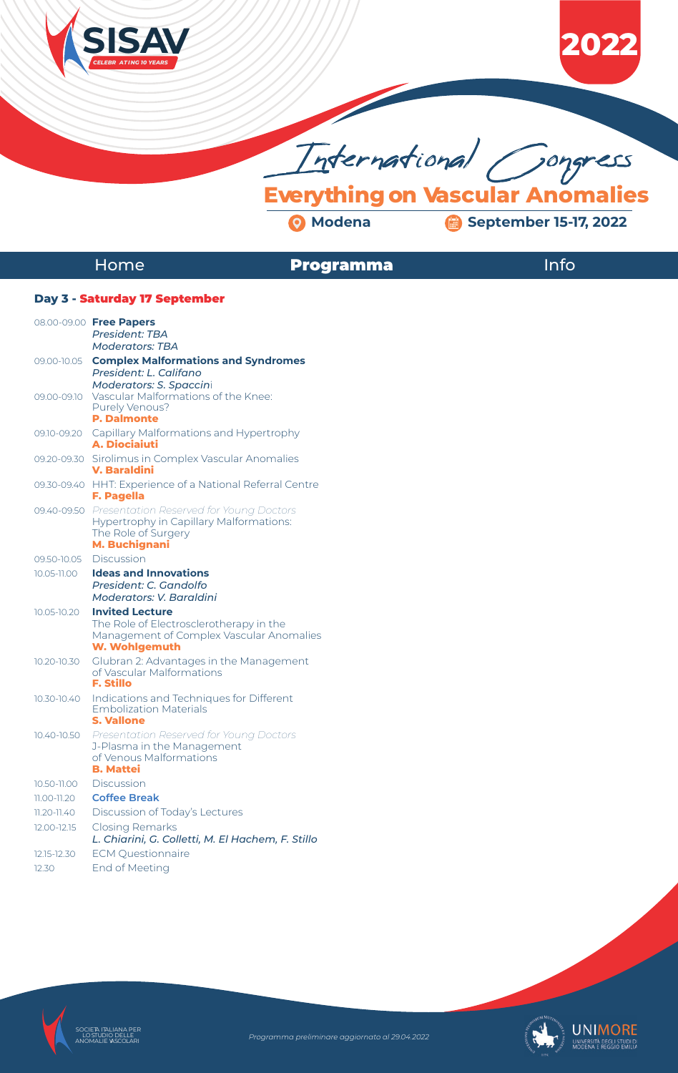

**Everything on Vascular Anomalies**

# Home **Programma**

# Info







# **Day 3 -** Saturday 17 September

|                 | 08.00-09.00 Free Papers                                                        |
|-----------------|--------------------------------------------------------------------------------|
|                 | <b>President: TBA</b>                                                          |
|                 | <b>Moderators: TBA</b>                                                         |
| 09.00-10.05     | <b>Complex Malformations and Syndromes</b><br>President: L. Califano           |
|                 | <b>Moderators: S. Spaccini</b>                                                 |
| 09.00-09.10     | Vascular Malformations of the Knee:                                            |
|                 | Purely Venous?<br><b>P. Dalmonte</b>                                           |
|                 | 09.10-09.20 Capillary Malformations and Hypertrophy                            |
|                 | <b>A. Diociaiuti</b>                                                           |
|                 | 09.20-09.30 Sirolimus in Complex Vascular Anomalies<br><b>V. Baraldini</b>     |
|                 | 09.30-09.40 HHT: Experience of a National Referral Centre<br><b>F. Pagella</b> |
|                 | 09.40-09.50 Presentation Reserved for Young Doctors                            |
|                 | <b>Hypertrophy in Capillary Malformations:</b><br>The Role of Surgery          |
|                 | <b>M. Buchignani</b>                                                           |
| 09.50-10.05     | <b>Discussion</b>                                                              |
| 10.05-11.00     | <b>Ideas and Innovations</b>                                                   |
|                 | President: C. Gandolfo<br><b>Moderators: V. Baraldini</b>                      |
| 10.05-10.20     | <b>Invited Lecture</b>                                                         |
|                 | The Role of Electrosclerotherapy in the                                        |
|                 | Management of Complex Vascular Anomalies                                       |
|                 | <b>W. Wohlgemuth</b>                                                           |
| 10.20-10.30     | Glubran 2: Advantages in the Management<br>of Vascular Malformations           |
|                 | <b>F. Stillo</b>                                                               |
| 10.30-10.40     | Indications and Techniques for Different                                       |
|                 | <b>Embolization Materials</b><br><b>S. Vallone</b>                             |
| 10.40-10.50     | Presentation Reserved for Young Doctors                                        |
|                 | J-Plasma in the Management                                                     |
|                 | of Venous Malformations<br><b>B. Mattei</b>                                    |
| 10.50-11.00     | <b>Discussion</b>                                                              |
| 11.00-11.20     | <b>Coffee Break</b>                                                            |
| $11.20 - 11.40$ | Discussion of Today's Lectures                                                 |
| 12.00-12.15     | Closing Remarks                                                                |
|                 | L. Chiarini, G. Colletti, M. El Hachem, F. Stillo                              |
| 12.15-12.30     | <b>ECM Questionnaire</b>                                                       |
| 12.30           | End of Meeting                                                                 |